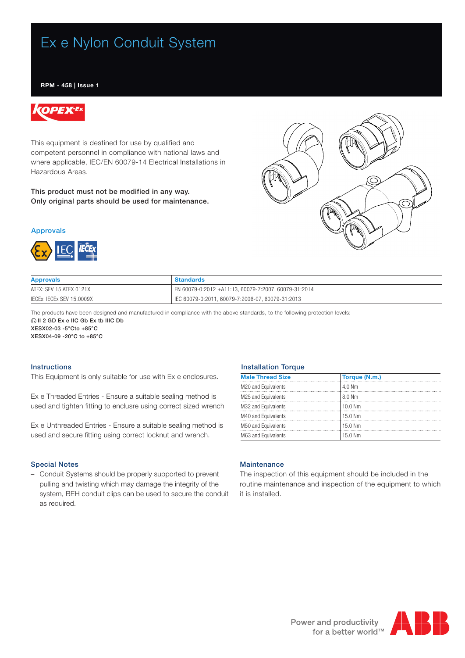# Ex e Nylon Conduit System

## RPM - 458 | Issue 1



This equipment is destined for use by qualified and competent personnel in compliance with national laws and where applicable, IEC/EN 60079-14 Electrical Installations in Hazardous Areas.

This product must not be modified in any way. Only original parts should be used for maintenance.





| <b>Approvals</b>          | <b>Standards</b>                                     |
|---------------------------|------------------------------------------------------|
| ATEX: SEV 15 ATEX 0121X   | EN 60079-0:2012 +A11:13, 60079-7:2007, 60079-31:2014 |
| IECEX: IECEX SEV 15.0009X | IEC 60079-0:2011. 60079-7:2006-07. 60079-31:2013     |

The products have been designed and manufactured in compliance with the above standards, to the following protection levels:  $\textcircled{k}$ II 2 GD Ex e IIC Gb Ex tb IIIC Db

XESX02-03 -5°Cto +85°C

XESX04-09 -20°C to +85°C

## **Instructions**

This Equipment is only suitable for use with Ex e enclosures.

Ex e Threaded Entries - Ensure a suitable sealing method is used and tighten fitting to enclusre using correct sized wrench

Ex e Unthreaded Entries - Ensure a suitable sealing method is used and secure fitting using correct locknut and wrench.

## Special Notes

– Conduit Systems should be properly supported to prevent pulling and twisting which may damage the integrity of the system, BEH conduit clips can be used to secure the conduit as required.

### Installation Torque

| <b>Male Thread Size</b> | Torque (N.m.) |
|-------------------------|---------------|
| M20 and Equivalents     | $4.0$ Nm      |
| M25 and Equivalents     | 8.0 Nm        |
| M32 and Equivalents     | $10.0$ Nm     |
| M40 and Equivalents     | 15.0 Nm       |
| M50 and Equivalents     | 15.0 Nm       |
| M63 and Equivalents     | 15.0 Nm       |

## **Maintenance**

The inspection of this equipment should be included in the routine maintenance and inspection of the equipment to which it is installed.